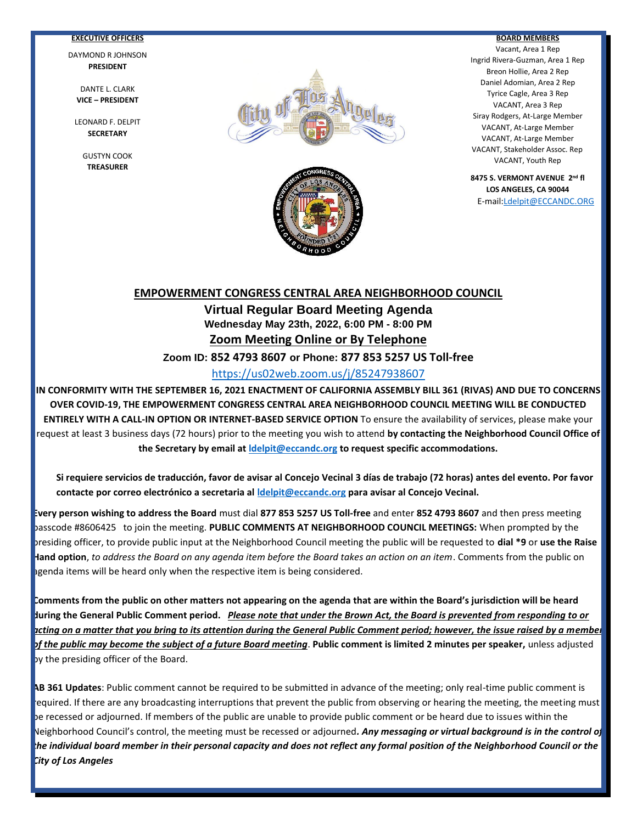#### **EXECUTIVE OFFICERS**

DAYMOND R JOHNSON **PRESIDENT**

DANTE L. CLARK **VICE – PRESIDENT**

LEONARD F. DELPIT **SECRETARY**

> GUSTYN COOK **TREASURER**



Ī



#### **BOARD MEMBERS**

Vacant, Area 1 Rep Ingrid Rivera-Guzman, Area 1 Rep Breon Hollie, Area 2 Rep Daniel Adomian, Area 2 Rep Tyrice Cagle, Area 3 Rep VACANT, Area 3 Rep Siray Rodgers, At-Large Member VACANT, At-Large Member VACANT, At-Large Member VACANT, Stakeholder Assoc. Rep VACANT, Youth Rep

**8475 S. VERMONT AVENUE 2nd fl LOS ANGELES, CA 90044**

E-mail[:Ldelpit@ECCANDC.ORG](mailto:Ldelpit@ECCANDC.ORG)

# **EMPOWERMENT CONGRESS CENTRAL AREA NEIGHBORHOOD COUNCIL Virtual Regular Board Meeting Agenda Wednesday May 23th, 2022, 6:00 PM - 8:00 PM Zoom Meeting Online or By Telephone**

**Zoom ID: 852 4793 8607 or Phone: 877 853 5257 US Toll-free**

## <https://us02web.zoom.us/j/85247938607>

**IN CONFORMITY WITH THE SEPTEMBER 16, 2021 ENACTMENT OF CALIFORNIA ASSEMBLY BILL 361 (RIVAS) AND DUE TO CONCERNS OVER COVID-19, THE EMPOWERMENT CONGRESS CENTRAL AREA NEIGHBORHOOD COUNCIL MEETING WILL BE CONDUCTED ENTIRELY WITH A CALL-IN OPTION OR INTERNET-BASED SERVICE OPTION** To ensure the availability of services, please make your request at least 3 business days (72 hours) prior to the meeting you wish to attend **by contacting the Neighborhood Council Office of the Secretary by email at [ldelpit@eccandc.org](mailto:ldelpit@eccandc.org) to request specific accommodations.**

**Si requiere servicios de traducción, favor de avisar al Concejo Vecinal 3 días de trabajo (72 horas) antes del evento. Por favor contacte por correo electrónico a secretaria al [ldelpit@eccandc.org](mailto:ldelpit@eccandc.org) para avisar al Concejo Vecinal.**

**Every person wishing to address the Board** must dial **877 853 5257 US Toll-free** and enter **852 4793 8607** and then press meeting passcode #8606425 to join the meeting. **PUBLIC COMMENTS AT NEIGHBORHOOD COUNCIL MEETINGS:** When prompted by the presiding officer, to provide public input at the Neighborhood Council meeting the public will be requested to **dial \*9** or **use the Raise Hand option**, *to address the Board on any agenda item before the Board takes an action on an item*. Comments from the public on agenda items will be heard only when the respective item is being considered.

**Comments from the public on other matters not appearing on the agenda that are within the Board's jurisdiction will be heard during the General Public Comment period.** *Please note that under the Brown Act, the Board is prevented from responding to or acting on a matter that you bring to its attention during the General Public Comment period; however, the issue raised by a member of the public may become the subject of a future Board meeting*. **Public comment is limited 2 minutes per speaker,** unless adjusted by the presiding officer of the Board.

**AB 361 Updates**: Public comment cannot be required to be submitted in advance of the meeting; only real-time public comment is required. If there are any broadcasting interruptions that prevent the public from observing or hearing the meeting, the meeting must be recessed or adjourned. If members of the public are unable to provide public comment or be heard due to issues within the Neighborhood Council's control, the meeting must be recessed or adjourned*. Any messaging or virtual background is in the control of the individual board member in their personal capacity and does not reflect any formal position of the Neighborhood Council or the City of Los Angeles*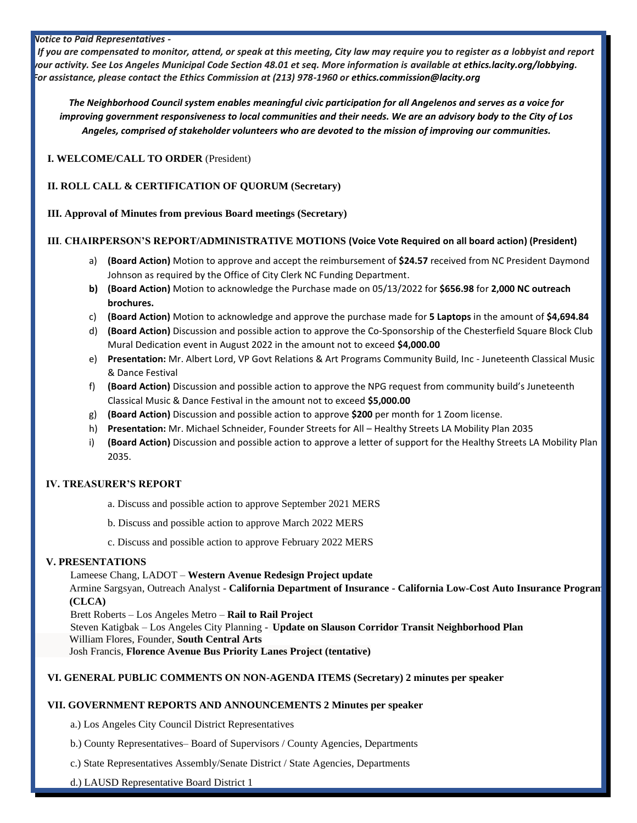#### *Notice to Paid Representatives -*

 *If you are compensated to monitor, attend, or speak at this meeting, City law may require you to register as a lobbyist and report your activity. See Los Angeles Municipal Code Section 48.01 et seq. More information is available at [ethics.lacity.org/lobbying.](http://ethics.lacity.org/lobbying) For assistance, please contact the Ethics Commission at (213) 978-1960 or [ethics.commission@lacity.org](mailto:ethics.commission@lacity.org)*

*The Neighborhood Council system enables meaningful civic participation for all Angelenos and serves as a voice for improving government responsiveness to local communities and their needs. We are an advisory body to the City of Los Angeles, comprised of stakeholder volunteers who are devoted to the mission of improving our communities.*

**I. WELCOME/CALL TO ORDER** (President)

**II. ROLL CALL & CERTIFICATION OF QUORUM (Secretary)**

**III. Approval of Minutes from previous Board meetings (Secretary)**

### **III**. **CHAIRPERSON'S REPORT/ADMINISTRATIVE MOTIONS (Voice Vote Required on all board action) (President)**

- a) **(Board Action)** Motion to approve and accept the reimbursement of **\$24.57** received from NC President Daymond Johnson as required by the Office of City Clerk NC Funding Department.
- **b) (Board Action)** Motion to acknowledge the Purchase made on 05/13/2022 for **\$656.98** for **2,000 NC outreach brochures.**
- c) **(Board Action)** Motion to acknowledge and approve the purchase made for **5 Laptops** in the amount of **\$4,694.84**
- d) **(Board Action)** Discussion and possible action to approve the Co-Sponsorship of the Chesterfield Square Block Club Mural Dedication event in August 2022 in the amount not to exceed **\$4,000.00**
- e) **Presentation:** Mr. Albert Lord, VP Govt Relations & Art Programs Community Build, Inc Juneteenth Classical Music & Dance Festival
- f) **(Board Action)** Discussion and possible action to approve the NPG request from community build's Juneteenth Classical Music & Dance Festival in the amount not to exceed **\$5,000.00**
- g) **(Board Action)** Discussion and possible action to approve **\$200** per month for 1 Zoom license.
- h) **Presentation:** Mr. Michael Schneider, Founder Streets for All Healthy Streets LA Mobility Plan 2035
- i) **(Board Action)** Discussion and possible action to approve a letter of support for the Healthy Streets LA Mobility Plan 2035.

## **IV. TREASURER'S REPORT**

- a. Discuss and possible action to approve September 2021 MERS
- b. Discuss and possible action to approve March 2022 MERS
- c. Discuss and possible action to approve February 2022 MERS

## **V. PRESENTATIONS**

Lameese Chang, LADOT – **Western Avenue Redesign Project update** Armine Sargsyan, Outreach Analyst - **California Department of Insurance - California Low-Cost Auto Insurance Program (CLCA)**

Brett Roberts – Los Angeles Metro – **Rail to Rail Project** Steven Katigbak – Los Angeles City Planning - **Update on Slauson Corridor Transit Neighborhood Plan** William Flores, Founder, **South Central Arts** Josh Francis, **Florence Avenue Bus Priority Lanes Project (tentative)**

## **VI. GENERAL PUBLIC COMMENTS ON NON-AGENDA ITEMS (Secretary) 2 minutes per speaker**

## **VII. GOVERNMENT REPORTS AND ANNOUNCEMENTS 2 Minutes per speaker**

a.) Los Angeles City Council District Representatives

b.) County Representatives– Board of Supervisors / County Agencies, Departments

c.) State Representatives Assembly/Senate District / State Agencies, Departments

d.) LAUSD Representative Board District 1